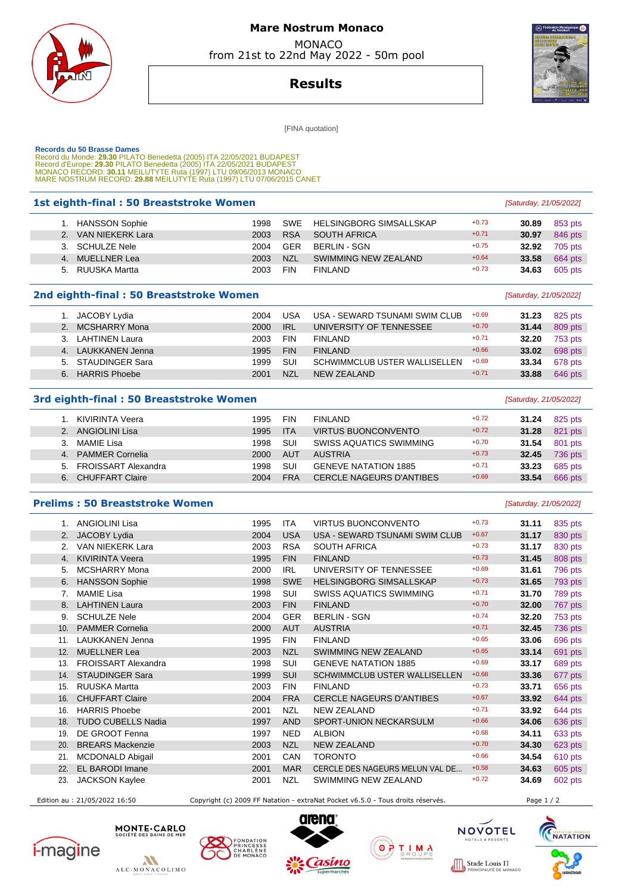

## **Mare Nostrum Monaco**  MONACO

from 21st to 22nd May 2022 - 50m pool



**Results**

[FINA quotation]

| <b>Records du 50 Brasse Dames</b><br>Record du Monde: 29.30 PILATO Benedetta (2005) ITA 22/05/2021 BUDAPEST<br>Record d'Europe: 29.30 PILATO Benedetta (2005) ITA 22/05/2021 BUDAPEST<br>MONACO RECORD: 30.11 MEILUTYTE Ruta (1997) LTU 09/06/2013 MONACO<br>MARE NOSTRUM RECORD: 29.88 MEILUTYTE Ruta (1997) LTU 07/06/2015 CANET |                            |      |            |                                 |         |       |                        |  |
|------------------------------------------------------------------------------------------------------------------------------------------------------------------------------------------------------------------------------------------------------------------------------------------------------------------------------------|----------------------------|------|------------|---------------------------------|---------|-------|------------------------|--|
| 1st eighth-final: 50 Breaststroke Women<br>[Saturday, 21/05/2022]                                                                                                                                                                                                                                                                  |                            |      |            |                                 |         |       |                        |  |
|                                                                                                                                                                                                                                                                                                                                    | 1. HANSSON Sophie          | 1998 | <b>SWE</b> | <b>HELSINGBORG SIMSALLSKAP</b>  | $+0.73$ | 30.89 | 853 pts                |  |
|                                                                                                                                                                                                                                                                                                                                    | 2. VAN NIEKERK Lara        | 2003 | <b>RSA</b> | <b>SOUTH AFRICA</b>             | $+0.71$ | 30.97 | 846 pts                |  |
|                                                                                                                                                                                                                                                                                                                                    | 3. SCHULZE Nele            | 2004 | <b>GER</b> | <b>BERLIN - SGN</b>             | $+0.75$ | 32.92 | 705 pts                |  |
|                                                                                                                                                                                                                                                                                                                                    | 4. MUELLNER Lea            | 2003 | <b>NZL</b> | <b>SWIMMING NEW ZEALAND</b>     | $+0.64$ | 33.58 | 664 pts                |  |
|                                                                                                                                                                                                                                                                                                                                    | 5. RUUSKA Martta           | 2003 | <b>FIN</b> | <b>FINLAND</b>                  | $+0.73$ | 34.63 | 605 pts                |  |
| 2nd eighth-final: 50 Breaststroke Women<br>[Saturday, 21/05/2022]                                                                                                                                                                                                                                                                  |                            |      |            |                                 |         |       |                        |  |
|                                                                                                                                                                                                                                                                                                                                    | 1. JACOBY Lydia            | 2004 | <b>USA</b> | USA - SEWARD TSUNAMI SWIM CLUB  | $+0.69$ | 31.23 | 825 pts                |  |
|                                                                                                                                                                                                                                                                                                                                    | 2. MCSHARRY Mona           | 2000 | <b>IRL</b> | UNIVERSITY OF TENNESSEE         | $+0.70$ | 31.44 | 809 pts                |  |
|                                                                                                                                                                                                                                                                                                                                    | 3. LAHTINEN Laura          | 2003 | <b>FIN</b> | <b>FINLAND</b>                  | $+0.71$ | 32.20 | 753 pts                |  |
|                                                                                                                                                                                                                                                                                                                                    | 4. LAUKKANEN Jenna         | 1995 | <b>FIN</b> | <b>FINLAND</b>                  | $+0.66$ | 33.02 | 698 pts                |  |
|                                                                                                                                                                                                                                                                                                                                    | 5. STAUDINGER Sara         | 1999 | SUI        | SCHWIMMCLUB USTER WALLISELLEN   | $+0.69$ | 33.34 | 678 pts                |  |
|                                                                                                                                                                                                                                                                                                                                    | 6. HARRIS Phoebe           | 2001 | <b>NZL</b> | <b>NEW ZEALAND</b>              | $+0.71$ | 33.88 | 646 pts                |  |
| 3rd eighth-final: 50 Breaststroke Women<br>[Saturday, 21/05/2022]                                                                                                                                                                                                                                                                  |                            |      |            |                                 |         |       |                        |  |
|                                                                                                                                                                                                                                                                                                                                    | 1. KIVIRINTA Veera         | 1995 | <b>FIN</b> | <b>FINLAND</b>                  | $+0.72$ | 31.24 | 825 pts                |  |
|                                                                                                                                                                                                                                                                                                                                    | 2. ANGIOLINI Lisa          | 1995 | <b>ITA</b> | <b>VIRTUS BUONCONVENTO</b>      | $+0.72$ | 31.28 | 821 pts                |  |
|                                                                                                                                                                                                                                                                                                                                    | 3. MAMIE Lisa              | 1998 | SUI        | <b>SWISS AQUATICS SWIMMING</b>  | $+0.70$ | 31.54 | 801 pts                |  |
|                                                                                                                                                                                                                                                                                                                                    | 4. PAMMER Cornelia         | 2000 | <b>AUT</b> | <b>AUSTRIA</b>                  | $+0.73$ | 32.45 | 736 pts                |  |
|                                                                                                                                                                                                                                                                                                                                    | 5. FROISSART Alexandra     | 1998 | <b>SUI</b> | <b>GENEVE NATATION 1885</b>     | $+0.71$ | 33.23 | 685 pts                |  |
|                                                                                                                                                                                                                                                                                                                                    | 6. CHUFFART Claire         | 2004 | <b>FRA</b> | <b>CERCLE NAGEURS D'ANTIBES</b> | $+0.69$ | 33.54 | 666 pts                |  |
| <b>Prelims: 50 Breaststroke Women</b>                                                                                                                                                                                                                                                                                              |                            |      |            |                                 |         |       | [Saturday, 21/05/2022] |  |
|                                                                                                                                                                                                                                                                                                                                    | 1. ANGIOLINI Lisa          | 1995 | <b>ITA</b> | <b>VIRTUS BUONCONVENTO</b>      | $+0.73$ | 31.11 | 835 pts                |  |
|                                                                                                                                                                                                                                                                                                                                    | 2. JACOBY Lydia            | 2004 | <b>USA</b> | USA - SEWARD TSUNAMI SWIM CLUB  | $+0.67$ | 31.17 | 830 pts                |  |
|                                                                                                                                                                                                                                                                                                                                    | 2. VAN NIEKERK Lara        | 2003 | <b>RSA</b> | <b>SOUTH AFRICA</b>             | $+0.73$ | 31.17 | 830 pts                |  |
|                                                                                                                                                                                                                                                                                                                                    | 4. KIVIRINTA Veera         | 1995 | <b>FIN</b> | <b>FINLAND</b>                  | $+0.73$ | 31.45 | 808 pts                |  |
|                                                                                                                                                                                                                                                                                                                                    | 5. MCSHARRY Mona           | 2000 | <b>IRL</b> | UNIVERSITY OF TENNESSEE         | $+0.69$ | 31.61 | 796 pts                |  |
|                                                                                                                                                                                                                                                                                                                                    | 6. HANSSON Sophie          | 1998 | <b>SWE</b> | <b>HELSINGBORG SIMSALLSKAP</b>  | $+0.73$ | 31.65 | 793 pts                |  |
|                                                                                                                                                                                                                                                                                                                                    | 7. MAMIE Lisa              | 1998 | SUI        | <b>SWISS AQUATICS SWIMMING</b>  | $+0.71$ | 31.70 | 789 pts                |  |
|                                                                                                                                                                                                                                                                                                                                    | 8. LAHTINEN Laura          | 2003 | <b>FIN</b> | <b>FINLAND</b>                  | $+0.70$ | 32.00 | 767 pts                |  |
| 9.                                                                                                                                                                                                                                                                                                                                 | <b>SCHULZE Nele</b>        | 2004 | GER        | <b>BERLIN - SGN</b>             | $+0.74$ | 32.20 | 753 pts                |  |
| 10.                                                                                                                                                                                                                                                                                                                                | <b>PAMMER Cornelia</b>     | 2000 | <b>AUT</b> | <b>AUSTRIA</b>                  | $+0.71$ | 32.45 | 736 pts                |  |
|                                                                                                                                                                                                                                                                                                                                    | 11. LAUKKANEN Jenna        | 1995 | <b>FIN</b> | <b>FINLAND</b>                  | $+0.65$ | 33.06 | 696 pts                |  |
|                                                                                                                                                                                                                                                                                                                                    | 12. MUELLNER Lea           | 2003 | <b>NZL</b> | SWIMMING NEW ZEALAND            | $+0.65$ | 33.14 | 691 pts                |  |
| 13.                                                                                                                                                                                                                                                                                                                                | <b>FROISSART Alexandra</b> | 1998 | <b>SUI</b> | <b>GENEVE NATATION 1885</b>     | $+0.69$ | 33.17 | 689 pts                |  |
|                                                                                                                                                                                                                                                                                                                                    | 14. STAUDINGER Sara        | 1999 | <b>SUI</b> | SCHWIMMCLUB USTER WALLISELLEN   | $+0.68$ | 33.36 | 677 pts                |  |
| 15.                                                                                                                                                                                                                                                                                                                                | RUUSKA Martta              | 2003 | <b>FIN</b> | <b>FINLAND</b>                  | $+0.73$ | 33.71 | 656 pts                |  |
|                                                                                                                                                                                                                                                                                                                                    | 16. CHUFFART Claire        | 2004 | <b>FRA</b> | <b>CERCLE NAGEURS D'ANTIBES</b> | $+0.67$ | 33.92 | 644 pts                |  |
|                                                                                                                                                                                                                                                                                                                                    | 16. HARRIS Phoebe          | 2001 | <b>NZL</b> | NEW ZEALAND                     | $+0.71$ | 33.92 | 644 pts                |  |
| 18.                                                                                                                                                                                                                                                                                                                                | <b>TUDO CUBELLS Nadia</b>  | 1997 | <b>AND</b> | SPORT-UNION NECKARSULM          | $+0.66$ | 34.06 | 636 pts                |  |
| 19.                                                                                                                                                                                                                                                                                                                                | DE GROOT Fenna             | 1997 | <b>NED</b> | <b>ALBION</b>                   | $+0.68$ | 34.11 | 633 pts                |  |
| 20.                                                                                                                                                                                                                                                                                                                                | <b>BREARS Mackenzie</b>    | 2003 | <b>NZL</b> | <b>NEW ZEALAND</b>              | $+0.70$ | 34.30 | 623 pts                |  |
| 21.                                                                                                                                                                                                                                                                                                                                | <b>MCDONALD Abigail</b>    | 2001 | CAN        | <b>TORONTO</b>                  | $+0.66$ | 34.54 | 610 pts                |  |
| 22.                                                                                                                                                                                                                                                                                                                                | EL BARODI Imane            | 2001 | <b>MAR</b> | CERCLE DES NAGEURS MELUN VAL DE | $+0.58$ | 34.63 | 605 pts                |  |
| 23.                                                                                                                                                                                                                                                                                                                                | <b>JACKSON Kaylee</b>      | 2001 | <b>NZL</b> | SWIMMING NEW ZEALAND            | $+0.72$ | 34.69 | 602 pts                |  |

Edition au : 21/05/2022 16:50 Copyright (c) 2009 FF Natation - extraNat Pocket v6.5.0 - Tous droits réservés. Page 1 / 2











 $0000$ 

Stade Louis II